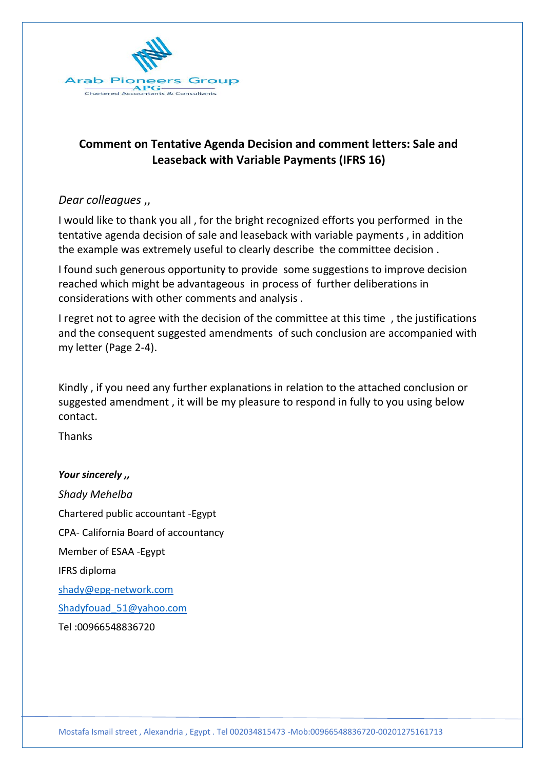

# **Comment on Tentative Agenda Decision and comment letters: Sale and Leaseback with Variable Payments (IFRS 16)**

### *Dear colleagues* ,,

I would like to thank you all , for the bright recognized efforts you performed in the tentative agenda decision of sale and leaseback with variable payments , in addition the example was extremely useful to clearly describe the committee decision .

I found such generous opportunity to provide some suggestions to improve decision reached which might be advantageous in process of further deliberations in considerations with other comments and analysis .

I regret not to agree with the decision of the committee at this time , the justifications and the consequent suggested amendments of such conclusion are accompanied with my letter (Page 2-4).

Kindly , if you need any further explanations in relation to the attached conclusion or suggested amendment , it will be my pleasure to respond in fully to you using below contact.

Thanks

*Your sincerely ,, Shady Mehelba* Chartered public accountant -Egypt CPA- California Board of accountancy Member of ESAA -Egypt IFRS diploma [shady@epg-network.com](mailto:shady@epg-network.com) [Shadyfouad\\_51@yahoo.com](mailto:Shadyfouad_51@yahoo.com) Tel :00966548836720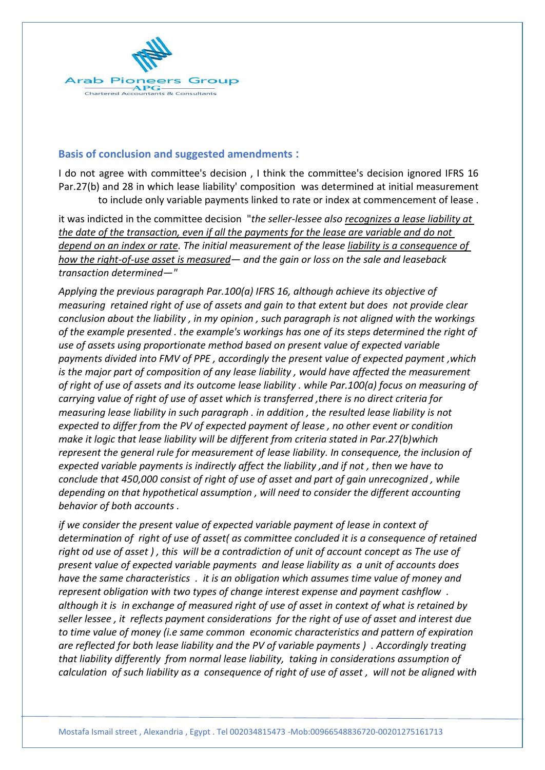

### **Basis of conclusion and suggested amendments :**

I do not agree with committee's decision , I think the committee's decision ignored IFRS 16 Par.27(b) and 28 in which lease liability' composition was determined at initial measurement to include only variable payments linked to rate or index at commencement of lease .

it was indicted in the committee decision "*the seller-lessee also recognizes a lease liability at the date of the transaction, even if all the payments for the lease are variable and do not depend on an index or rate. The initial measurement of the lease liability is a consequence of how the right-of-use asset is measured— and the gain or loss on the sale and leaseback transaction determined—"*

*Applying the previous paragraph Par.100(a) IFRS 16, although achieve its objective of measuring retained right of use of assets and gain to that extent but does not provide clear conclusion about the liability , in my opinion , such paragraph is not aligned with the workings of the example presented . the example's workings has one of its steps determined the right of use of assets using proportionate method based on present value of expected variable payments divided into FMV of PPE , accordingly the present value of expected payment ,which is the major part of composition of any lease liability , would have affected the measurement of right of use of assets and its outcome lease liability . while Par.100(a) focus on measuring of carrying value of right of use of asset which is transferred ,there is no direct criteria for measuring lease liability in such paragraph . in addition , the resulted lease liability is not expected to differ from the PV of expected payment of lease , no other event or condition make it logic that lease liability will be different from criteria stated in Par.27(b)which represent the general rule for measurement of lease liability. In consequence, the inclusion of expected variable payments is indirectly affect the liability ,and if not , then we have to conclude that 450,000 consist of right of use of asset and part of gain unrecognized , while depending on that hypothetical assumption , will need to consider the different accounting behavior of both accounts .* 

*if we consider the present value of expected variable payment of lease in context of determination of right of use of asset( as committee concluded it is a consequence of retained right od use of asset ) , this will be a contradiction of unit of account concept as The use of present value of expected variable payments and lease liability as a unit of accounts does have the same characteristics . it is an obligation which assumes time value of money and represent obligation with two types of change interest expense and payment cashflow . although it is in exchange of measured right of use of asset in context of what is retained by seller lessee , it reflects payment considerations for the right of use of asset and interest due to time value of money (i.e same common economic characteristics and pattern of expiration are reflected for both lease liability and the PV of variable payments ) . Accordingly treating that liability differently from normal lease liability, taking in considerations assumption of calculation of such liability as a consequence of right of use of asset , will not be aligned with*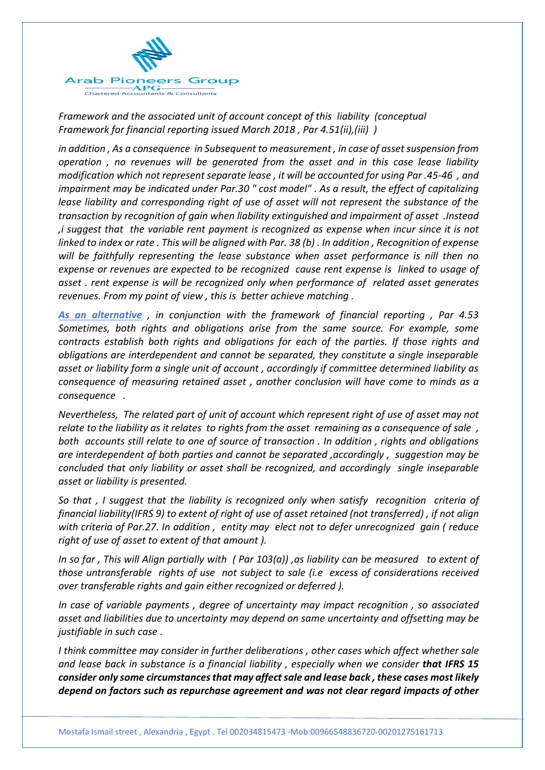

*Framework and the associated unit of account concept of this liability (conceptual Framework for financial reporting issued March 2018 , Par 4.51(ii),(iii) )*

*in addition , As a consequence in Subsequent to measurement , in case of asset suspension from operation , no revenues will be generated from the asset and in this case lease liability modification which not represent separate lease , it will be accounted for using Par .45-46 , and impairment may be indicated under Par.30 " cost model" . As a result, the effect of capitalizing lease liability and corresponding right of use of asset will not represent the substance of the transaction by recognition of gain when liability extinguished and impairment of asset .Instead ,i suggest that the variable rent payment is recognized as expense when incur since it is not linked to index or rate . This will be aligned with Par. 38 (b) . In addition , Recognition of expense will be faithfully representing the lease substance when asset performance is nill then no expense or revenues are expected to be recognized cause rent expense is linked to usage of asset . rent expense is will be recognized only when performance of related asset generates revenues. From my point of view , this is better achieve matching .* 

*As an alternative , in conjunction with the framework of financial reporting , Par 4.53 Sometimes, both rights and obligations arise from the same source. For example, some contracts establish both rights and obligations for each of the parties. If those rights and obligations are interdependent and cannot be separated, they constitute a single inseparable asset or liability form a single unit of account , accordingly if committee determined liability as consequence of measuring retained asset , another conclusion will have come to minds as a consequence .*

*Nevertheless, The related part of unit of account which represent right of use of asset may not relate to the liability as it relates to rights from the asset remaining as a consequence of sale , both accounts still relate to one of source of transaction . In addition , rights and obligations are interdependent of both parties and cannot be separated ,accordingly , suggestion may be concluded that only liability or asset shall be recognized, and accordingly single inseparable asset or liability is presented.*

*So that , I suggest that the liability is recognized only when satisfy recognition criteria of financial liability(IFRS 9) to extent of right of use of asset retained (not transferred) , if not align with criteria of Par.27. In addition , entity may elect not to defer unrecognized gain ( reduce right of use of asset to extent of that amount ).*

*In so far , This will Align partially with ( Par 103(a)) ,as liability can be measured to extent of those untransferable rights of use not subject to sale (i.e excess of considerations received over transferable rights and gain either recognized or deferred ).*

*In case of variable payments , degree of uncertainty may impact recognition , so associated asset and liabilities due to uncertainty may depend on same uncertainty and offsetting may be justifiable in such case .* 

*I think committee may consider in further deliberations , other cases which affect whether sale and lease back in substance is a financial liability , especially when we consider that IFRS 15 consider only some circumstances that may affect sale and lease back , these cases most likely depend on factors such as repurchase agreement and was not clear regard impacts of other*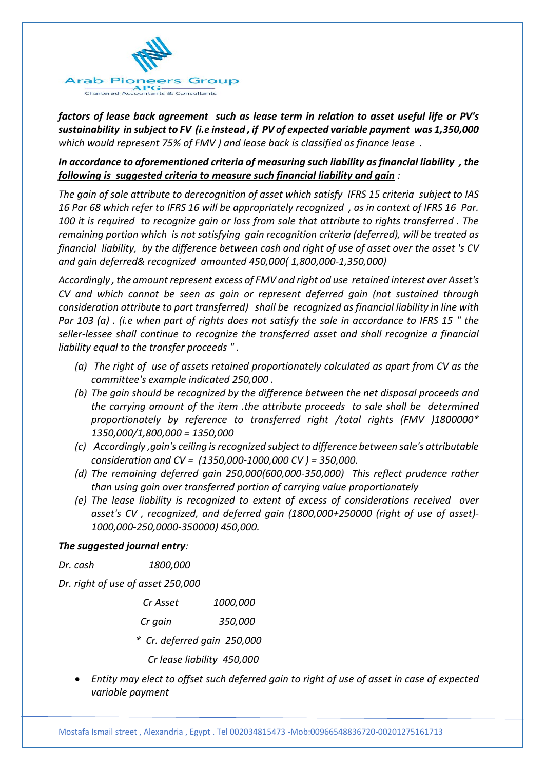

*factors of lease back agreement such as lease term in relation to asset useful life or PV's sustainability in subject to FV (i.e instead , if PV of expected variable payment was 1,350,000 which would represent 75% of FMV ) and lease back is classified as finance lease .* 

### *In accordance to aforementioned criteria of measuring such liability as financial liability , the following is suggested criteria to measure such financial liability and gain :*

*The gain of sale attribute to derecognition of asset which satisfy IFRS 15 criteria subject to IAS 16 Par 68 which refer to IFRS 16 will be appropriately recognized , as in context of IFRS 16 Par. 100 it is required to recognize gain or loss from sale that attribute to rights transferred . The remaining portion which is not satisfying gain recognition criteria (deferred), will be treated as financial liability, by the difference between cash and right of use of asset over the asset 's CV and gain deferred& recognized amounted 450,000( 1,800,000-1,350,000)* 

*Accordingly , the amount represent excess of FMV and right od use retained interest over Asset's CV and which cannot be seen as gain or represent deferred gain (not sustained through consideration attribute to part transferred) shall be recognized as financial liability in line with Par 103 (a) . (i.e when part of rights does not satisfy the sale in accordance to IFRS 15 " the seller-lessee shall continue to recognize the transferred asset and shall recognize a financial liability equal to the transfer proceeds " .* 

- *(a) The right of use of assets retained proportionately calculated as apart from CV as the committee's example indicated 250,000 .*
- *(b) The gain should be recognized by the difference between the net disposal proceeds and the carrying amount of the item .the attribute proceeds to sale shall be determined proportionately by reference to transferred right /total rights (FMV )1800000\* 1350,000/1,800,000 = 1350,000*
- *(c) Accordingly ,gain's ceiling isrecognized subject to difference between sale's attributable consideration and CV = (1350,000-1000,000 CV ) = 350,000.*
- *(d) The remaining deferred gain 250,000(600,000-350,000) This reflect prudence rather than using gain over transferred portion of carrying value proportionately*
- *(e) The lease liability is recognized to extent of excess of considerations received over asset's CV , recognized, and deferred gain (1800,000+250000 (right of use of asset)- 1000,000-250,0000-350000) 450,000.*

#### *The suggested journal entry:*

| <i>1800,000</i> |
|-----------------|
|                 |

*Dr. right of use of asset 250,000*

| Cr Asset | 1000,000 |
|----------|----------|
| Cr gain  | 350,000  |

- *\* Cr. deferred gain 250,000*
	- *Cr lease liability 450,000*
- *Entity may elect to offset such deferred gain to right of use of asset in case of expected variable payment*

Mostafa Ismail street , Alexandria , Egypt . Tel 002034815473 -Mob:00966548836720-00201275161713